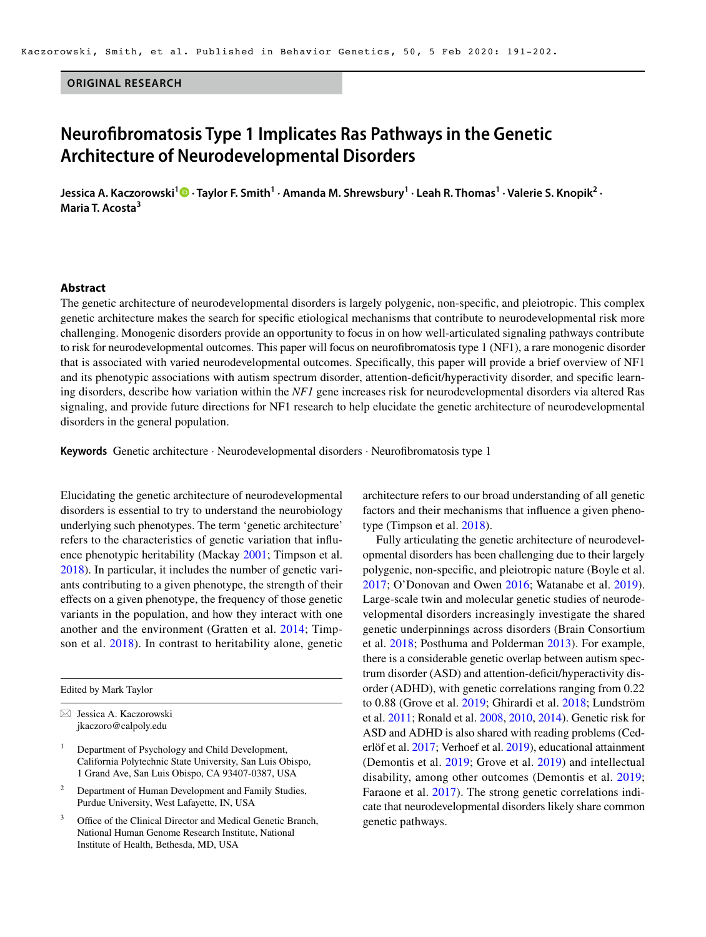#### **ORIGINAL RESEARCH**

# **Neurofbromatosis Type 1 Implicates Ras Pathways in the Genetic Architecture of Neurodevelopmental Disorders**

Jessica A. Kaczorowski<sup>1</sup> © · Taylor F. Smith<sup>1</sup> · Amanda M. Shrewsbury<sup>1</sup> · Leah R. Thomas<sup>1</sup> · Valerie S. Knopik<sup>2</sup> · **Maria T. Acosta3** 

#### **Abstract**

The genetic architecture of neurodevelopmental disorders is largely polygenic, non-specifc, and pleiotropic. This complex genetic architecture makes the search for specifc etiological mechanisms that contribute to neurodevelopmental risk more challenging. Monogenic disorders provide an opportunity to focus in on how well-articulated signaling pathways contribute to risk for neurodevelopmental outcomes. This paper will focus on neurofbromatosis type 1 (NF1), a rare monogenic disorder that is associated with varied neurodevelopmental outcomes. Specifcally, this paper will provide a brief overview of NF1 and its phenotypic associations with autism spectrum disorder, attention-defcit/hyperactivity disorder, and specifc learning disorders, describe how variation within the *NF1* gene increases risk for neurodevelopmental disorders via altered Ras signaling, and provide future directions for NF1 research to help elucidate the genetic architecture of neurodevelopmental disorders in the general population.

**Keywords** Genetic architecture · Neurodevelopmental disorders · Neurofbromatosis type 1

Elucidating the genetic architecture of neurodevelopmental disorders is essential to try to understand the neurobiology underlying such phenotypes. The term 'genetic architecture' refers to the characteristics of genetic variation that infuence phenotypic heritability (Mackay [2001](#page-9-0); Timpson et al. [2018](#page-10-0)). In particular, it includes the number of genetic variants contributing to a given phenotype, the strength of their efects on a given phenotype, the frequency of those genetic variants in the population, and how they interact with one another and the environment (Gratten et al. [2014](#page-8-0); Timpson et al. [2018](#page-10-0)). In contrast to heritability alone, genetic

Edited by Mark Taylor

- <sup>2</sup> Department of Human Development and Family Studies, Purdue University, West Lafayette, IN, USA
- Office of the Clinical Director and Medical Genetic Branch, National Human Genome Research Institute, National Institute of Health, Bethesda, MD, USA

architecture refers to our broad understanding of all genetic factors and their mechanisms that infuence a given phenotype (Timpson et al. [2018\)](#page-10-0).

Fully articulating the genetic architecture of neurodevelopmental disorders has been challenging due to their largely polygenic, non-specifc, and pleiotropic nature (Boyle et al. [2017](#page-7-0); O'Donovan and Owen [2016;](#page-9-1) Watanabe et al. [2019](#page-10-1)). Large-scale twin and molecular genetic studies of neurodevelopmental disorders increasingly investigate the shared genetic underpinnings across disorders (Brain Consortium et al. [2018](#page-7-1); Posthuma and Polderman [2013](#page-9-2)). For example, there is a considerable genetic overlap between autism spectrum disorder (ASD) and attention-deficit/hyperactivity disorder (ADHD), with genetic correlations ranging from 0.22 to 0.88 (Grove et al. [2019](#page-8-1); Ghirardi et al. [2018;](#page-8-2) Lundström et al. [2011](#page-9-3); Ronald et al. [2008,](#page-10-2) [2010](#page-10-3), [2014](#page-10-4)). Genetic risk for ASD and ADHD is also shared with reading problems (Cederlöf et al. [2017;](#page-7-2) Verhoef et al. [2019\)](#page-10-5), educational attainment (Demontis et al. [2019](#page-8-3); Grove et al. [2019](#page-8-1)) and intellectual disability, among other outcomes (Demontis et al. [2019](#page-8-3); Faraone et al. [2017](#page-8-4)). The strong genetic correlations indicate that neurodevelopmental disorders likely share common genetic pathways.

 $\boxtimes$  Jessica A. Kaczorowski [jkaczoro@calpoly.edu](mailto:jkaczoro@calpoly.edu)

<sup>1</sup> Department of Psychology and Child Development, California Polytechnic State University, San Luis Obispo, 1 Grand Ave, San Luis Obispo, CA 93407-0387, USA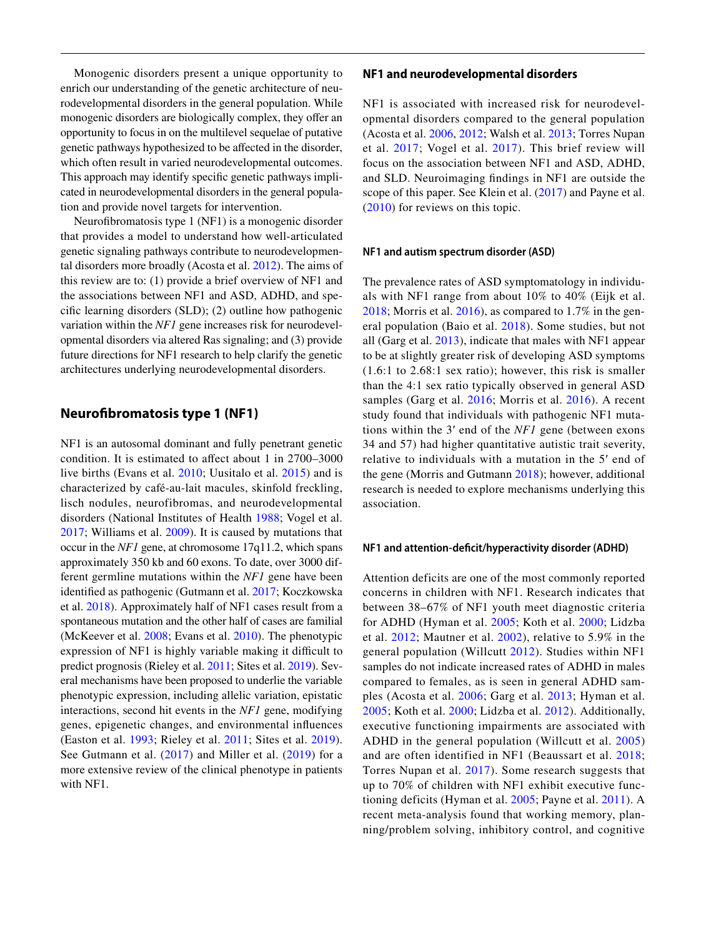Monogenic disorders present a unique opportunity to enrich our understanding of the genetic architecture of neurodevelopmental disorders in the general population. While monogenic disorders are biologically complex, they offer an opportunity to focus in on the multilevel sequelae of putative genetic pathways hypothesized to be afected in the disorder, which often result in varied neurodevelopmental outcomes. This approach may identify specifc genetic pathways implicated in neurodevelopmental disorders in the general population and provide novel targets for intervention.

 genetic signaling pathways contribute to neurodevelopmen- variation within the *NF1* gene increases risk for neurodevel-Neurofbromatosis type 1 (NF1) is a monogenic disorder that provides a model to understand how well-articulated tal disorders more broadly (Acosta et al. [2012](#page-7-3)). The aims of this review are to: (1) provide a brief overview of NF1 and the associations between NF1 and ASD, ADHD, and specifc learning disorders (SLD); (2) outline how pathogenic opmental disorders via altered Ras signaling; and (3) provide future directions for NF1 research to help clarify the genetic architectures underlying neurodevelopmental disorders.

# **Neurofbromatosis type 1 (NF1)**

 identifed as pathogenic (Gutmann et al. [2017;](#page-8-6) Koczkowska NF1 is an autosomal dominant and fully penetrant genetic condition. It is estimated to affect about 1 in 2700–3000 live births (Evans et al. [2010;](#page-8-5) Uusitalo et al. [2015](#page-10-6)) and is characterized by café-au-lait macules, skinfold freckling, lisch nodules, neurofibromas, and neurodevelopmental disorders (National Institutes of Health [1988](#page-9-4); Vogel et al. [2017](#page-10-7); Williams et al. [2009](#page-10-8)). It is caused by mutations that occur in the *NF1* gene, at chromosome 17q11.2, which spans approximately 350 kb and 60 exons. To date, over 3000 different germline mutations within the *NF1* gene have been et al. [2018](#page-9-5)). Approximately half of NF1 cases result from a spontaneous mutation and the other half of cases are familial (McKeever et al. [2008;](#page-9-6) Evans et al. [2010](#page-8-5)). The phenotypic expression of NF1 is highly variable making it difficult to predict prognosis (Rieley et al. [2011;](#page-10-9) Sites et al. [2019](#page-10-10)). Several mechanisms have been proposed to underlie the variable phenotypic expression, including allelic variation, epistatic interactions, second hit events in the *NF1* gene, modifying genes, epigenetic changes, and environmental infuences (Easton et al. [1993;](#page-8-7) Rieley et al. [2011;](#page-10-9) Sites et al. [2019](#page-10-10)). See Gutmann et al. ([2017\)](#page-8-6) and Miller et al. ([2019\)](#page-9-7) for a more extensive review of the clinical phenotype in patients with NF1.

#### **NF1 and neurodevelopmental disorders**

scope of this paper. See Klein et al. (2017) and Payne et al. NF1 is associated with increased risk for neurodevelopmental disorders compared to the general population (Acosta et al. [2006,](#page-7-4) [2012;](#page-7-3) Walsh et al. [2013](#page-10-11); Torres Nupan et al. [2017;](#page-10-12) Vogel et al. [2017](#page-10-7)). This brief review will focus on the association between NF1 and ASD, ADHD, and SLD. Neuroimaging fndings in NF1 are outside the ([2010](#page-9-9)) for reviews on this topic.

#### **NF1 and autism spectrum disorder (ASD)**

 The prevalence rates of ASD symptomatology in individuals with NF1 range from about 10% to 40% (Eijk et al. [2018;](#page-8-8) Morris et al.  $2016$ , as compared to 1.7% in the general population (Baio et al. [2018\)](#page-7-5). Some studies, but not all (Garg et al. [2013\)](#page-8-9), indicate that males with NF1 appear to be at slightly greater risk of developing ASD symptoms (1.6:1 to 2.68:1 sex ratio); however, this risk is smaller than the 4:1 sex ratio typically observed in general ASD samples (Garg et al. [2016;](#page-8-10) Morris et al. [2016\)](#page-9-10). A recent study found that individuals with pathogenic NF1 mutations within the 3′ end of the *NF1* gene (between exons 34 and 57) had higher quantitative autistic trait severity, relative to individuals with a mutation in the 5′ end of the gene (Morris and Gutmann [2018](#page-9-11)); however, additional research is needed to explore mechanisms underlying this association.

#### **NF1 and attention‑defcit/hyperactivity disorder (ADHD)**

 Attention deficits are one of the most commonly reported concerns in children with NF1. Research indicates that between 38–67% of NF1 youth meet diagnostic criteria for ADHD (Hyman et al. [2005](#page-9-12); Koth et al. [2000](#page-9-13); Lidzba et al. [2012](#page-9-14); Mautner et al. [2002\)](#page-9-15), relative to 5.9% in the general population (Willcutt [2012\)](#page-10-13). Studies within NF1 samples do not indicate increased rates of ADHD in males compared to females, as is seen in general ADHD samples (Acosta et al. [2006;](#page-7-4) Garg et al. [2013](#page-8-9); Hyman et al. [2005](#page-9-12); Koth et al. [2000;](#page-9-13) Lidzba et al. [2012\)](#page-9-14). Additionally, executive functioning impairments are associated with ADHD in the general population (Willcutt et al. [2005](#page-10-14)) and are often identified in NF1 (Beaussart et al. [2018](#page-7-6); Torres Nupan et al. [2017\)](#page-10-12). Some research suggests that up to 70% of children with NF1 exhibit executive functioning deficits (Hyman et al. [2005;](#page-9-12) Payne et al. [2011](#page-9-16)). A recent meta-analysis found that working memory, planning/problem solving, inhibitory control, and cognitive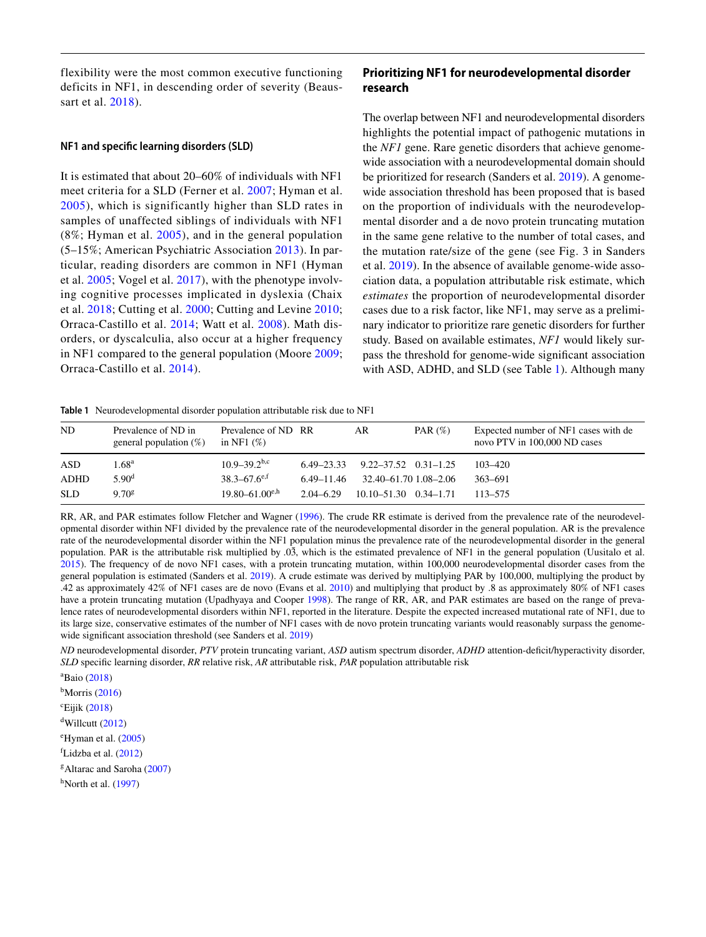flexibility were the most common executive functioning deficits in NF1, in descending order of severity (Beaussart et al. [2018\)](#page-7-6).

#### **NF1 and specifc learning disorders (SLD)**

 in NF1 compared to the general population (Moore [2009](#page-9-18); It is estimated that about 20–60% of individuals with NF1 meet criteria for a SLD (Ferner et al. [2007;](#page-8-11) Hyman et al. [2005](#page-9-12)), which is significantly higher than SLD rates in samples of unaffected siblings of individuals with NF1 (8%; Hyman et al. [2005\)](#page-9-12), and in the general population (5–15%; American Psychiatric Association [2013\)](#page-7-7). In particular, reading disorders are common in NF1 (Hyman et al. [2005](#page-9-12); Vogel et al. [2017\)](#page-10-7), with the phenotype involving cognitive processes implicated in dyslexia (Chaix et al. [2018;](#page-8-12) Cutting et al. [2000](#page-8-13); Cutting and Levine [2010](#page-8-14); Orraca-Castillo et al. [2014;](#page-9-17) Watt et al. [2008\)](#page-10-15). Math disorders, or dyscalculia, also occur at a higher frequency Orraca-Castillo et al. [2014\)](#page-9-17).

# **Prioritizing NF1 for neurodevelopmental disorder research**

 The overlap between NF1 and neurodevelopmental disorders nary indicator to prioritize rare genetic disorders for further pass the threshold for genome-wide signifcant association highlights the potential impact of pathogenic mutations in the *NF1* gene. Rare genetic disorders that achieve genomewide association with a neurodevelopmental domain should be prioritized for research (Sanders et al. [2019](#page-10-16)). A genomewide association threshold has been proposed that is based on the proportion of individuals with the neurodevelopmental disorder and a de novo protein truncating mutation in the same gene relative to the number of total cases, and the mutation rate/size of the gene (see Fig. 3 in Sanders et al. [2019](#page-10-16)). In the absence of available genome-wide association data, a population attributable risk estimate, which *estimates* the proportion of neurodevelopmental disorder cases due to a risk factor, like NF1, may serve as a prelimistudy. Based on available estimates, *NF1* would likely surwith ASD, ADHD, and SLD (see Table [1](#page-2-0)). Although many

<span id="page-2-0"></span>**Table 1** Neurodevelopmental disorder population attributable risk due to NF1

| ND.         | Prevalence of ND in<br>general population $(\%)$ | Prevalence of ND RR<br>in NF1 $(\%)$ |                | AR                               | PAR $(\%)$ | Expected number of NF1 cases with de<br>novo PTV in 100,000 ND cases |
|-------------|--------------------------------------------------|--------------------------------------|----------------|----------------------------------|------------|----------------------------------------------------------------------|
| ASD         | 1.68 <sup>a</sup>                                | $10.9 - 39.2$ <sup>b,c</sup>         | $6.49 - 23.33$ | $9.22 - 37.52 \quad 0.31 - 1.25$ |            | 103-420                                                              |
| <b>ADHD</b> | 5.90 <sup>d</sup>                                | $38.3 - 67.6$ <sup>e,f</sup>         | 6.49–11.46     | 32.40–61.70 1.08–2.06            |            | 363-691                                                              |
| <b>SLD</b>  | $9.70^{\rm g}$                                   | $19.80 - 61.00^{e,h}$                | $2.04 - 6.29$  | $10.10 - 51.30$ $0.34 - 1.71$    |            | 113–575                                                              |

RR, AR, and PAR estimates follow Fletcher and Wagner [\(1996](#page-8-15)). The crude RR estimate is derived from the prevalence rate of the neurodevelopmental disorder within NF1 divided by the prevalence rate of the neurodevelopmental disorder in the general population. AR is the prevalence rate of the neurodevelopmental disorder within the NF1 population minus the prevalence rate of the neurodevelopmental disorder in the general population. PAR is the attributable risk multiplied by .03*̄*, which is the estimated prevalence of NF1 in the general population (Uusitalo et al. [2015](#page-10-6)). The frequency of de novo NF1 cases, with a protein truncating mutation, within 100,000 neurodevelopmental disorder cases from the general population is estimated (Sanders et al. [2019](#page-10-16)). A crude estimate was derived by multiplying PAR by 100,000, multiplying the product by .42 as approximately 42% of NF1 cases are de novo (Evans et al. [2010](#page-8-5)) and multiplying that product by .8 as approximately 80% of NF1 cases have a protein truncating mutation (Upadhyaya and Cooper [1998](#page-10-17)). The range of RR, AR, and PAR estimates are based on the range of prevalence rates of neurodevelopmental disorders within NF1, reported in the literature. Despite the expected increased mutational rate of NF1, due to its large size, conservative estimates of the number of NF1 cases with de novo protein truncating variants would reasonably surpass the genome-wide significant association threshold (see Sanders et al. [2019](#page-10-16))

*ND* neurodevelopmental disorder, *PTV* protein truncating variant, *ASD* autism spectrum disorder, *ADHD* attention-defcit/hyperactivity disorder, *SLD* specifc learning disorder, *RR* relative risk, *AR* attributable risk, *PAR* population attributable risk

a Baio [\(2018](#page-7-5))

 $<sup>b</sup>$ Morris ([2016\)](#page-9-10)</sup>

 $\text{c}^{\text{c}}$ Eijik [\(2018](#page-8-8))

 $d$ Willcutt [\(2012](#page-10-13))

e Hyman et al. ([2005\)](#page-9-12)

f Lidzba et al. [\(2012](#page-9-14))

g Altarac and Saroha [\(2007](#page-7-8))

 $<sup>h</sup>$ North et al. ([1997\)](#page-9-19)</sup>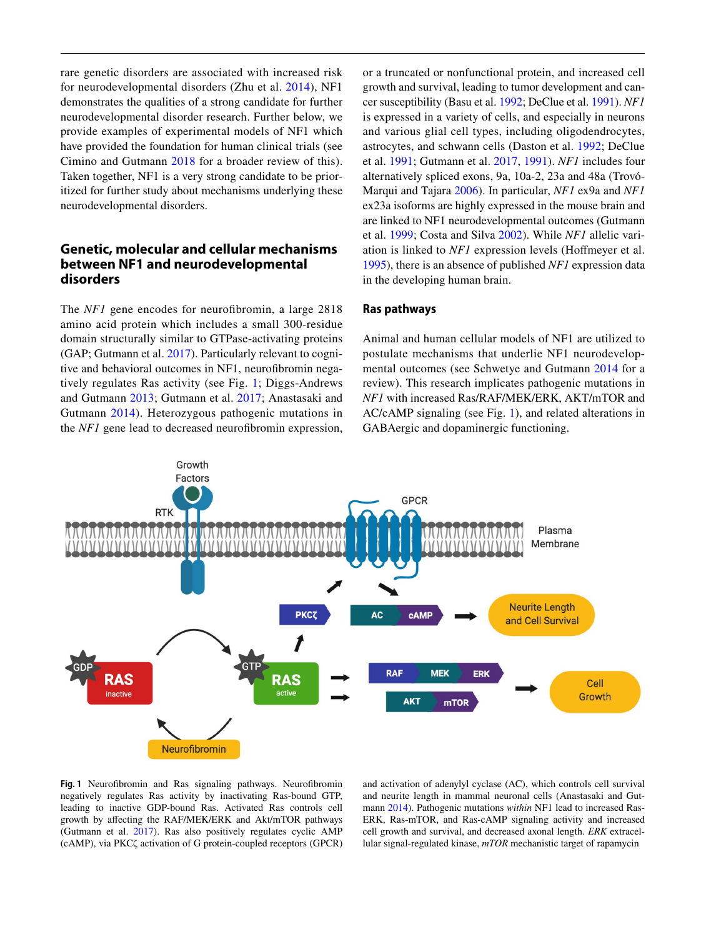rare genetic disorders are associated with increased risk for neurodevelopmental disorders (Zhu et al. [2014\)](#page-11-0), NF1 demonstrates the qualities of a strong candidate for further neurodevelopmental disorder research. Further below, we provide examples of experimental models of NF1 which have provided the foundation for human clinical trials (see Cimino and Gutmann [2018](#page-8-16) for a broader review of this). Taken together, NF1 is a very strong candidate to be prioritized for further study about mechanisms underlying these neurodevelopmental disorders.

# **Genetic, molecular and cellular mechanisms between NF1 and neurodevelopmental disorders**

 (GAP; Gutmann et al. [2017](#page-8-6)). Particularly relevant to cogni- and Gutmann 2013; Gutmann et al. [2017;](#page-8-6) Anastasaki and The *NF1* gene encodes for neurofibromin, a large 2818 amino acid protein which includes a small 300-residue domain structurally similar to GTPase-activating proteins tive and behavioral outcomes in NF1, neurofibromin negatively regulates Ras activity (see Fig. [1;](#page-3-0) Diggs-Andrews Gutmann [2014](#page-7-9)). Heterozygous pathogenic mutations in the *NF1* gene lead to decreased neurofibromin expression,

 ex23a isoforms are highly expressed in the mouse brain and are linked to NF1 neurodevelopmental outcomes (Gutmann or a truncated or nonfunctional protein, and increased cell growth and survival, leading to tumor development and cancer susceptibility (Basu et al. [1992;](#page-7-10) DeClue et al. [1991\)](#page-8-18). *NF1*  is expressed in a variety of cells, and especially in neurons and various glial cell types, including oligodendrocytes, astrocytes, and schwann cells (Daston et al. [1992;](#page-8-19) DeClue et al. [1991;](#page-8-18) Gutmann et al. [2017,](#page-8-6) [1991](#page-8-20)). *NF1* includes four alternatively spliced exons, 9a, 10a-2, 23a and 48a (Trovó-Marqui and Tajara [2006\)](#page-10-18). In particular, *NF1* ex9a and *NF1*  et al. [1999;](#page-8-21) Costa and Silva [2002\)](#page-8-22). While *NF1* allelic variation is linked to *NF1* expression levels (Hofmeyer et al. [1995](#page-8-23)), there is an absence of published *NF1* expression data in the developing human brain.

## **Ras pathways**

 review). This research implicates pathogenic mutations in AC/cAMP signaling (see Fig. 1), and related alterations in Animal and human cellular models of NF1 are utilized to postulate mechanisms that underlie NF1 neurodevelopmental outcomes (see Schwetye and Gutmann [2014](#page-10-19) for a *NF1* with increased Ras/RAF/MEK/ERK, AKT/mTOR and GABAergic and dopaminergic functioning.



<span id="page-3-0"></span>Fig. 1 Neurofibromin and Ras signaling pathways. Neurofibromin negatively regulates Ras activity by inactivating Ras-bound GTP, leading to inactive GDP-bound Ras. Activated Ras controls cell growth by afecting the RAF/MEK/ERK and Akt/mTOR pathways (Gutmann et al. [2017\)](#page-8-6). Ras also positively regulates cyclic AMP (cAMP), via PKCζ activation of G protein-coupled receptors (GPCR) and activation of adenylyl cyclase (AC), which controls cell survival and neurite length in mammal neuronal cells (Anastasaki and Gutmann [2014](#page-7-9)). Pathogenic mutations *within* NF1 lead to increased Ras-ERK, Ras-mTOR, and Ras-cAMP signaling activity and increased cell growth and survival, and decreased axonal length. *ERK* extracellular signal-regulated kinase, *mTOR* mechanistic target of rapamycin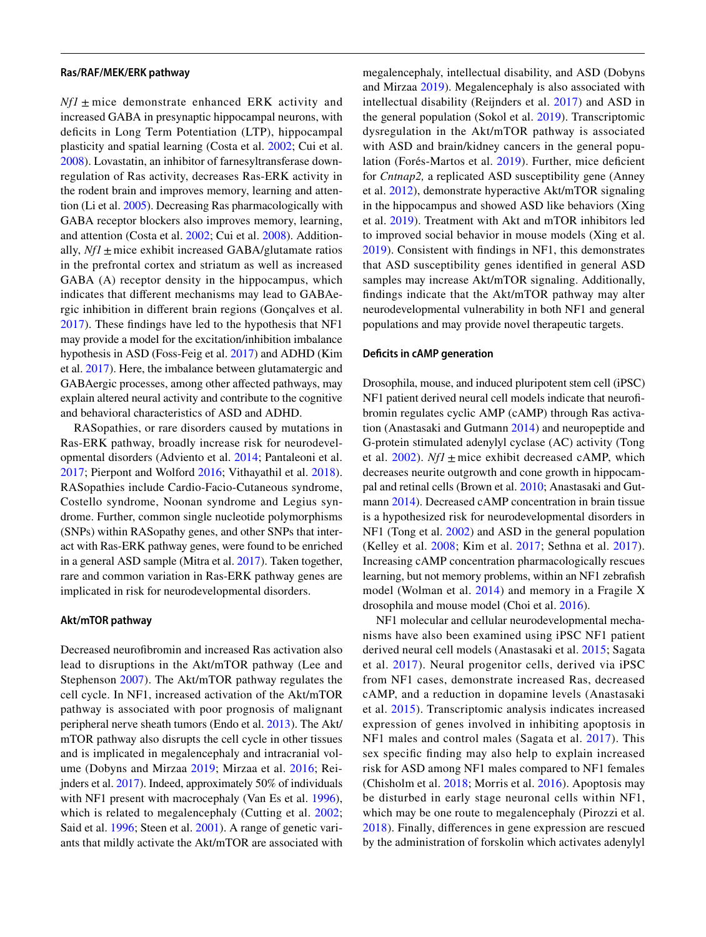#### **Ras/RAF/MEK/ERK pathway**

 *Nf1* ± mice demonstrate enhanced ERK activity and ally, *Nf1* ± mice exhibit increased GABA/glutamate ratios et al. [2017](#page-9-21)). Here, the imbalance between glutamatergic and increased GABA in presynaptic hippocampal neurons, with deficits in Long Term Potentiation (LTP), hippocampal plasticity and spatial learning (Costa et al. [2002](#page-8-24); Cui et al. [2008](#page-8-25)). Lovastatin, an inhibitor of farnesyltransferase downregulation of Ras activity, decreases Ras-ERK activity in the rodent brain and improves memory, learning and attention (Li et al. [2005\)](#page-9-20). Decreasing Ras pharmacologically with GABA receptor blockers also improves memory, learning, and attention (Costa et al. [2002](#page-8-24); Cui et al. [2008\)](#page-8-25). Additionin the prefrontal cortex and striatum as well as increased GABA (A) receptor density in the hippocampus, which indicates that diferent mechanisms may lead to GABAergic inhibition in diferent brain regions (Gonçalves et al. [2017](#page-8-26)). These fndings have led to the hypothesis that NF1 may provide a model for the excitation/inhibition imbalance hypothesis in ASD (Foss-Feig et al. [2017\)](#page-8-27) and ADHD (Kim GABAergic processes, among other afected pathways, may explain altered neural activity and contribute to the cognitive and behavioral characteristics of ASD and ADHD.

RASopathies, or rare disorders caused by mutations in Ras-ERK pathway, broadly increase risk for neurodevelopmental disorders (Adviento et al. [2014;](#page-7-11) Pantaleoni et al. [2017](#page-9-22); Pierpont and Wolford [2016](#page-9-23); Vithayathil et al. [2018](#page-10-20)). RASopathies include Cardio-Facio-Cutaneous syndrome, Costello syndrome, Noonan syndrome and Legius syndrome. Further, common single nucleotide polymorphisms (SNPs) within RASopathy genes, and other SNPs that interact with Ras-ERK pathway genes, were found to be enriched in a general ASD sample (Mitra et al. [2017\)](#page-9-24). Taken together, rare and common variation in Ras-ERK pathway genes are implicated in risk for neurodevelopmental disorders.

#### **Akt/mTOR pathway**

which is related to megalencephaly (Cutting et al. [2002](#page-8-30); Decreased neurofbromin and increased Ras activation also lead to disruptions in the Akt/mTOR pathway (Lee and Stephenson [2007\)](#page-9-25). The Akt/mTOR pathway regulates the cell cycle. In NF1, increased activation of the Akt/mTOR pathway is associated with poor prognosis of malignant peripheral nerve sheath tumors (Endo et al. [2013](#page-8-28)). The Akt/ mTOR pathway also disrupts the cell cycle in other tissues and is implicated in megalencephaly and intracranial volume (Dobyns and Mirzaa [2019;](#page-8-29) Mirzaa et al. [2016](#page-9-26); Reijnders et al. [2017\)](#page-10-21). Indeed, approximately 50% of individuals with NF1 present with macrocephaly (Van Es et al. [1996](#page-10-22)), Said et al. [1996](#page-10-23); Steen et al. [2001](#page-10-24)). A range of genetic variants that mildly activate the Akt/mTOR are associated with

 to improved social behavior in mouse models (Xing et al. megalencephaly, intellectual disability, and ASD (Dobyns and Mirzaa [2019](#page-8-29)). Megalencephaly is also associated with intellectual disability (Reijnders et al. [2017\)](#page-10-21) and ASD in the general population (Sokol et al. [2019](#page-10-25)). Transcriptomic dysregulation in the Akt/mTOR pathway is associated with ASD and brain/kidney cancers in the general population (Forés-Martos et al. [2019\)](#page-8-31). Further, mice defcient for *Cntnap2,* a replicated ASD susceptibility gene (Anney et al. [2012\)](#page-7-12), demonstrate hyperactive Akt/mTOR signaling in the hippocampus and showed ASD like behaviors (Xing et al. [2019](#page-11-1)). Treatment with Akt and mTOR inhibitors led [2019\)](#page-11-1). Consistent with fndings in NF1, this demonstrates that ASD susceptibility genes identifed in general ASD samples may increase Akt/mTOR signaling. Additionally, fndings indicate that the Akt/mTOR pathway may alter neurodevelopmental vulnerability in both NF1 and general populations and may provide novel therapeutic targets.

#### **Defcits in cAMP generation**

 NF1 patient derived neural cell models indicate that neurofet al.  $2002$ ). *Nf1*  $\pm$  mice exhibit decreased cAMP, which Drosophila, mouse, and induced pluripotent stem cell (iPSC) bromin regulates cyclic AMP (cAMP) through Ras activation (Anastasaki and Gutmann [2014\)](#page-7-9) and neuropeptide and G-protein stimulated adenylyl cyclase (AC) activity (Tong decreases neurite outgrowth and cone growth in hippocampal and retinal cells (Brown et al. [2010;](#page-7-13) Anastasaki and Gutmann [2014\)](#page-7-9). Decreased cAMP concentration in brain tissue is a hypothesized risk for neurodevelopmental disorders in NF1 (Tong et al. [2002\)](#page-10-26) and ASD in the general population (Kelley et al. [2008;](#page-9-27) Kim et al. [2017](#page-9-21); Sethna et al. [2017](#page-10-27)). Increasing cAMP concentration pharmacologically rescues learning, but not memory problems, within an NF1 zebrafsh model (Wolman et al. [2014](#page-10-28)) and memory in a Fragile X drosophila and mouse model (Choi et al. [2016](#page-8-32)).

NF1 molecular and cellular neurodevelopmental mechanisms have also been examined using iPSC NF1 patient derived neural cell models (Anastasaki et al. [2015;](#page-7-14) Sagata et al. [2017\)](#page-10-29). Neural progenitor cells, derived via iPSC from NF1 cases, demonstrate increased Ras, decreased cAMP, and a reduction in dopamine levels (Anastasaki et al. [2015](#page-7-14)). Transcriptomic analysis indicates increased expression of genes involved in inhibiting apoptosis in NF1 males and control males (Sagata et al. [2017](#page-10-29)). This sex specifc fnding may also help to explain increased risk for ASD among NF1 males compared to NF1 females (Chisholm et al. [2018](#page-8-33); Morris et al. [2016](#page-9-10)). Apoptosis may be disturbed in early stage neuronal cells within NF1, which may be one route to megalencephaly (Pirozzi et al. [2018\)](#page-9-28). Finally, diferences in gene expression are rescued by the administration of forskolin which activates adenylyl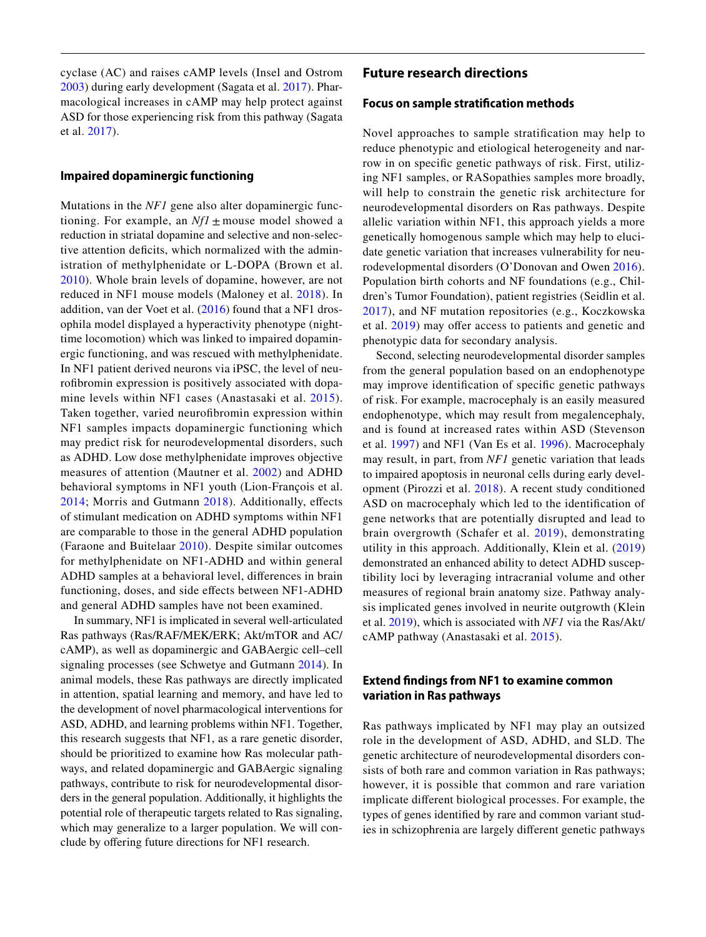cyclase (AC) and raises cAMP levels (Insel and Ostrom [2003](#page-9-29)) during early development (Sagata et al. [2017](#page-10-29)). Pharmacological increases in cAMP may help protect against ASD for those experiencing risk from this pathway (Sagata et al. [2017\)](#page-10-29).

## **Impaired dopaminergic functioning**

tioning. For example, an  $Nf1 \pm \text{mouse}$  model showed a Mutations in the *NF1* gene also alter dopaminergic funcreduction in striatal dopamine and selective and non-selective attention deficits, which normalized with the administration of methylphenidate or L-DOPA (Brown et al. [2010\)](#page-7-13). Whole brain levels of dopamine, however, are not reduced in NF1 mouse models (Maloney et al. [2018](#page-9-30)). In addition, van der Voet et al. ([2016\)](#page-10-30) found that a NF1 drosophila model displayed a hyperactivity phenotype (nighttime locomotion) which was linked to impaired dopaminergic functioning, and was rescued with methylphenidate. In NF1 patient derived neurons via iPSC, the level of neurofbromin expression is positively associated with dopamine levels within NF1 cases (Anastasaki et al. [2015](#page-7-14)). Taken together, varied neurofibromin expression within NF1 samples impacts dopaminergic functioning which may predict risk for neurodevelopmental disorders, such as ADHD. Low dose methylphenidate improves objective measures of attention (Mautner et al. [2002](#page-9-15)) and ADHD behavioral symptoms in NF1 youth (Lion-François et al. [2014](#page-9-31); Morris and Gutmann [2018](#page-9-11)). Additionally, efects of stimulant medication on ADHD symptoms within NF1 are comparable to those in the general ADHD population (Faraone and Buitelaar [2010](#page-8-34)). Despite similar outcomes for methylphenidate on NF1-ADHD and within general ADHD samples at a behavioral level, diferences in brain functioning, doses, and side efects between NF1-ADHD and general ADHD samples have not been examined.

In summary, NF1 is implicated in several well-articulated Ras pathways (Ras/RAF/MEK/ERK; Akt/mTOR and AC/ cAMP), as well as dopaminergic and GABAergic cell–cell signaling processes (see Schwetye and Gutmann [2014\)](#page-10-19). In animal models, these Ras pathways are directly implicated in attention, spatial learning and memory, and have led to the development of novel pharmacological interventions for ASD, ADHD, and learning problems within NF1. Together, this research suggests that NF1, as a rare genetic disorder, should be prioritized to examine how Ras molecular pathways, and related dopaminergic and GABAergic signaling pathways, contribute to risk for neurodevelopmental disorders in the general population. Additionally, it highlights the potential role of therapeutic targets related to Ras signaling, which may generalize to a larger population. We will conclude by ofering future directions for NF1 research.

### **Future research directions**

## **Focus on sample stratifcation methods**

Novel approaches to sample stratifcation may help to reduce phenotypic and etiological heterogeneity and narrow in on specifc genetic pathways of risk. First, utilizing NF1 samples, or RASopathies samples more broadly, will help to constrain the genetic risk architecture for neurodevelopmental disorders on Ras pathways. Despite allelic variation within NF1, this approach yields a more genetically homogenous sample which may help to elucidate genetic variation that increases vulnerability for neurodevelopmental disorders (O'Donovan and Owen [2016](#page-9-1)). Population birth cohorts and NF foundations (e.g., Children's Tumor Foundation), patient registries (Seidlin et al. [2017](#page-10-31)), and NF mutation repositories (e.g., Koczkowska et al. [2019](#page-9-32)) may offer access to patients and genetic and phenotypic data for secondary analysis.

Second, selecting neurodevelopmental disorder samples from the general population based on an endophenotype may improve identifcation of specifc genetic pathways of risk. For example, macrocephaly is an easily measured endophenotype, which may result from megalencephaly, and is found at increased rates within ASD (Stevenson et al. [1997](#page-10-32)) and NF1 (Van Es et al. [1996](#page-10-22)). Macrocephaly may result, in part, from *NF1* genetic variation that leads to impaired apoptosis in neuronal cells during early development (Pirozzi et al. [2018](#page-9-28)). A recent study conditioned ASD on macrocephaly which led to the identifcation of gene networks that are potentially disrupted and lead to brain overgrowth (Schafer et al. [2019](#page-10-33)), demonstrating utility in this approach. Additionally, Klein et al. ([2019](#page-9-33)) demonstrated an enhanced ability to detect ADHD susceptibility loci by leveraging intracranial volume and other measures of regional brain anatomy size. Pathway analysis implicated genes involved in neurite outgrowth (Klein et al. [2019](#page-9-33)), which is associated with *NF1* via the Ras/Akt/ cAMP pathway (Anastasaki et al. [2015](#page-7-14)).

## **Extend fndings from NF1 to examine common variation in Ras pathways**

 role in the development of ASD, ADHD, and SLD. The Ras pathways implicated by NF1 may play an outsized genetic architecture of neurodevelopmental disorders consists of both rare and common variation in Ras pathways; however, it is possible that common and rare variation implicate diferent biological processes. For example, the types of genes identifed by rare and common variant studies in schizophrenia are largely diferent genetic pathways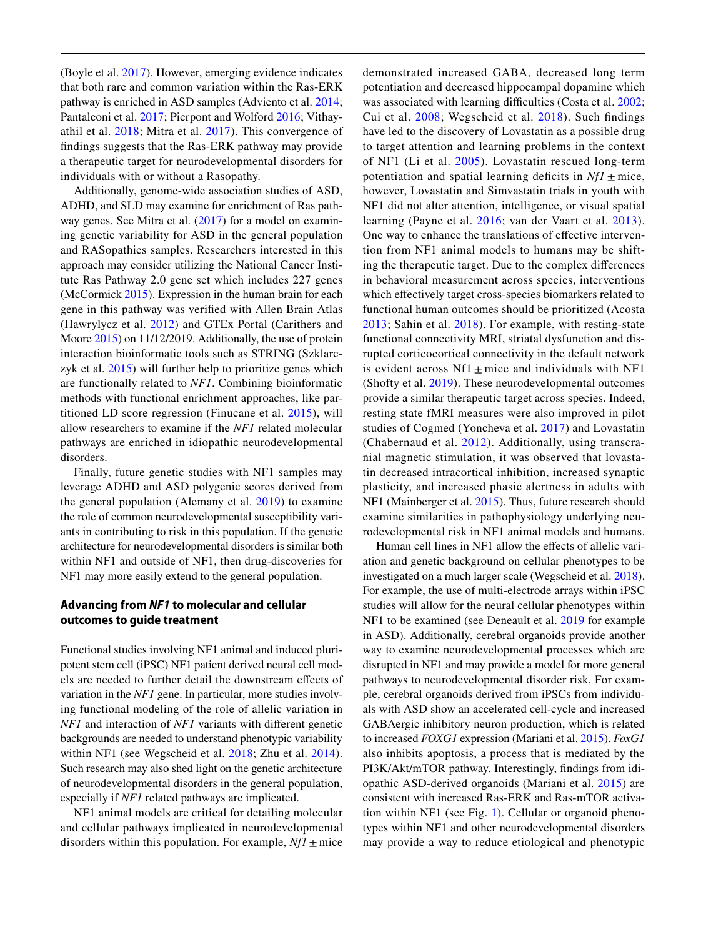(Boyle et al. [2017](#page-7-0)). However, emerging evidence indicates that both rare and common variation within the Ras-ERK pathway is enriched in ASD samples (Adviento et al. [2014](#page-7-11); Pantaleoni et al. [2017](#page-9-22); Pierpont and Wolford [2016;](#page-9-23) Vithayathil et al. [2018;](#page-10-20) Mitra et al. [2017\)](#page-9-24). This convergence of fndings suggests that the Ras-ERK pathway may provide a therapeutic target for neurodevelopmental disorders for individuals with or without a Rasopathy.

 ADHD, and SLD may examine for enrichment of Ras path- titioned LD score regression (Finucane et al. [2015\)](#page-8-36), will Additionally, genome-wide association studies of ASD, way genes. See Mitra et al. [\(2017](#page-9-24)) for a model on examining genetic variability for ASD in the general population and RASopathies samples. Researchers interested in this approach may consider utilizing the National Cancer Institute Ras Pathway 2.0 gene set which includes 227 genes (McCormick [2015](#page-9-34)). Expression in the human brain for each gene in this pathway was verifed with Allen Brain Atlas (Hawrylycz et al. [2012\)](#page-8-35) and GTEx Portal (Carithers and Moore [2015\)](#page-7-15) on 11/12/2019. Additionally, the use of protein interaction bioinformatic tools such as STRING (Szklarczyk et al. [2015\)](#page-10-34) will further help to prioritize genes which are functionally related to *NF1*. Combining bioinformatic methods with functional enrichment approaches, like parallow researchers to examine if the *NF1* related molecular pathways are enriched in idiopathic neurodevelopmental disorders.

 the general population (Alemany et al. [2019\)](#page-7-16) to examine Finally, future genetic studies with NF1 samples may leverage ADHD and ASD polygenic scores derived from the role of common neurodevelopmental susceptibility variants in contributing to risk in this population. If the genetic architecture for neurodevelopmental disorders is similar both within NF1 and outside of NF1, then drug-discoveries for NF1 may more easily extend to the general population.

## **Advancing from** *NF1* **to molecular and cellular outcomes to guide treatment**

 Functional studies involving NF1 animal and induced pluri- *NF1* and interaction of *NF1* variants with diferent genetic within NF1 (see Wegscheid et al. 2018; Zhu et al. [2014](#page-11-0)). potent stem cell (iPSC) NF1 patient derived neural cell models are needed to further detail the downstream efects of variation in the *NF1* gene. In particular, more studies involving functional modeling of the role of allelic variation in backgrounds are needed to understand phenotypic variability Such research may also shed light on the genetic architecture of neurodevelopmental disorders in the general population, especially if *NF1* related pathways are implicated.

disorders within this population. For example,  $Nf1 \pm$  mice NF1 animal models are critical for detailing molecular and cellular pathways implicated in neurodevelopmental

was associated with learning difficulties (Costa et al. [2002](#page-8-24); potentiation and spatial learning deficits in  $Nf1 \pm$  mice, is evident across  $Nf1 \pm mice$  and individuals with NF1 (Shofty et al. [2019\)](#page-10-38). These neurodevelopmental outcomes tin decreased intracortical inhibition, increased synaptic demonstrated increased GABA, decreased long term potentiation and decreased hippocampal dopamine which Cui et al. [2008;](#page-8-25) Wegscheid et al. [2018](#page-10-35)). Such fndings have led to the discovery of Lovastatin as a possible drug to target attention and learning problems in the context of NF1 (Li et al. [2005\)](#page-9-20). Lovastatin rescued long-term however, Lovastatin and Simvastatin trials in youth with NF1 did not alter attention, intelligence, or visual spatial learning (Payne et al. [2016;](#page-9-35) van der Vaart et al. [2013](#page-10-36)). One way to enhance the translations of effective intervention from NF1 animal models to humans may be shifting the therapeutic target. Due to the complex diferences in behavioral measurement across species, interventions which effectively target cross-species biomarkers related to functional human outcomes should be prioritized (Acosta [2013;](#page-7-17) Sahin et al. [2018](#page-10-37)). For example, with resting-state functional connectivity MRI, striatal dysfunction and disrupted corticocortical connectivity in the default network provide a similar therapeutic target across species. Indeed, resting state fMRI measures were also improved in pilot studies of Cogmed (Yoncheva et al. [2017](#page-11-2)) and Lovastatin (Chabernaud et al. [2012\)](#page-7-18). Additionally, using transcranial magnetic stimulation, it was observed that lovastaplasticity, and increased phasic alertness in adults with NF1 (Mainberger et al. [2015](#page-9-36)). Thus, future research should examine similarities in pathophysiology underlying neurodevelopmental risk in NF1 animal models and humans.

 to increased *FOXG1* expression (Mariani et al. [2015\)](#page-9-37). *FoxG1*  Human cell lines in NF1 allow the effects of allelic variation and genetic background on cellular phenotypes to be investigated on a much larger scale (Wegscheid et al. [2018](#page-10-35)). For example, the use of multi-electrode arrays within iPSC studies will allow for the neural cellular phenotypes within NF1 to be examined (see Deneault et al. [2019](#page-8-37) for example in ASD). Additionally, cerebral organoids provide another way to examine neurodevelopmental processes which are disrupted in NF1 and may provide a model for more general pathways to neurodevelopmental disorder risk. For example, cerebral organoids derived from iPSCs from individuals with ASD show an accelerated cell-cycle and increased GABAergic inhibitory neuron production, which is related also inhibits apoptosis, a process that is mediated by the PI3K/Akt/mTOR pathway. Interestingly, fndings from idiopathic ASD-derived organoids (Mariani et al. [2015](#page-9-37)) are consistent with increased Ras-ERK and Ras-mTOR activation within NF1 (see Fig. [1\)](#page-3-0). Cellular or organoid phenotypes within NF1 and other neurodevelopmental disorders may provide a way to reduce etiological and phenotypic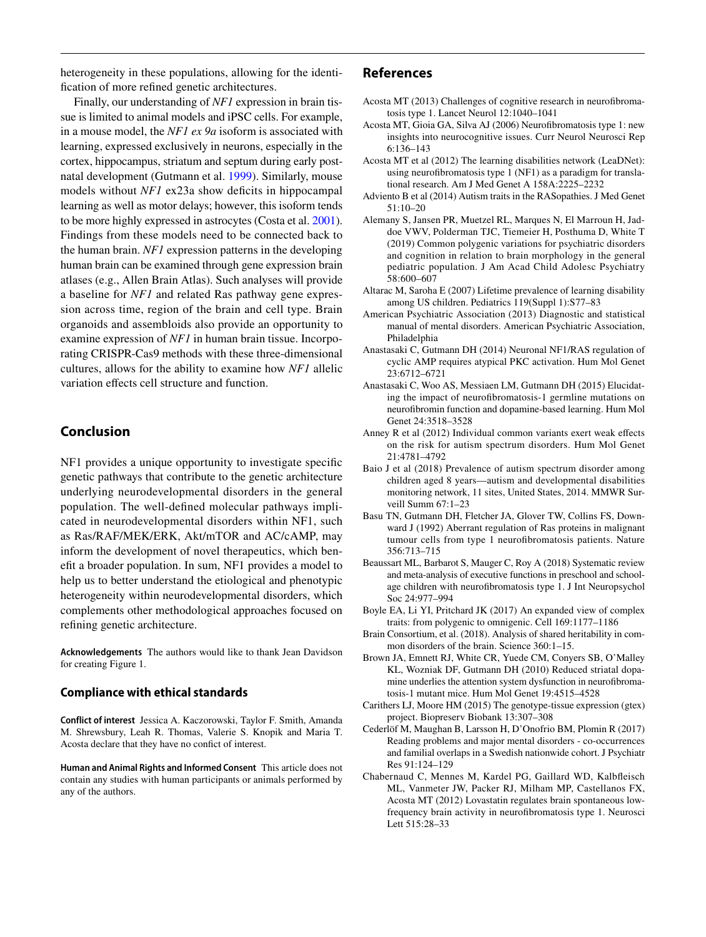heterogeneity in these populations, allowing for the identifcation of more refned genetic architectures.

 cultures, allows for the ability to examine how *NF1* allelic Finally, our understanding of *NF1* expression in brain tissue is limited to animal models and iPSC cells. For example, in a mouse model, the *NF1 ex 9a* isoform is associated with learning, expressed exclusively in neurons, especially in the cortex, hippocampus, striatum and septum during early postnatal development (Gutmann et al. [1999\)](#page-8-21). Similarly, mouse models without *NF1* ex23a show deficits in hippocampal learning as well as motor delays; however, this isoform tends to be more highly expressed in astrocytes (Costa et al. [2001](#page-8-38)). Findings from these models need to be connected back to the human brain. *NF1* expression patterns in the developing human brain can be examined through gene expression brain atlases (e.g., Allen Brain Atlas). Such analyses will provide a baseline for *NF1* and related Ras pathway gene expression across time, region of the brain and cell type. Brain organoids and assembloids also provide an opportunity to examine expression of *NF1* in human brain tissue. Incorporating CRISPR-Cas9 methods with these three-dimensional variation efects cell structure and function.

# **Conclusion**

 inform the development of novel therapeutics, which ben-NF1 provides a unique opportunity to investigate specifc genetic pathways that contribute to the genetic architecture underlying neurodevelopmental disorders in the general population. The well-defned molecular pathways implicated in neurodevelopmental disorders within NF1, such as Ras/RAF/MEK/ERK, Akt/mTOR and AC/cAMP, may eft a broader population. In sum, NF1 provides a model to help us to better understand the etiological and phenotypic heterogeneity within neurodevelopmental disorders, which complements other methodological approaches focused on refning genetic architecture.

**Acknowledgements** The authors would like to thank Jean Davidson for creating Figure 1.

## **Compliance with ethical standards**

**Conflict of interest** Jessica A. Kaczorowski, Taylor F. Smith, Amanda M. Shrewsbury, Leah R. Thomas, Valerie S. Knopik and Maria T. Acosta declare that they have no confict of interest.

**Human and Animal Rights and Informed Consent** This article does not contain any studies with human participants or animals performed by any of the authors.

## **References**

- <span id="page-7-17"></span>Acosta MT (2013) Challenges of cognitive research in neurofbromatosis type 1. Lancet Neurol 12:1040–1041
- <span id="page-7-4"></span> Acosta MT, Gioia GA, Silva AJ (2006) Neurofbromatosis type 1: new insights into neurocognitive issues. Curr Neurol Neurosci Rep 6:136–143
- <span id="page-7-3"></span>Acosta MT et al (2012) The learning disabilities network (LeaDNet): using neurofbromatosis type 1 (NF1) as a paradigm for translational research. Am J Med Genet A 158A:2225–2232
- <span id="page-7-11"></span>Adviento B et al (2014) Autism traits in the RASopathies. J Med Genet 51:10–20
- <span id="page-7-16"></span>Alemany S, Jansen PR, Muetzel RL, Marques N, El Marroun H, Jaddoe VWV, Polderman TJC, Tiemeier H, Posthuma D, White T (2019) Common polygenic variations for psychiatric disorders and cognition in relation to brain morphology in the general pediatric population. J Am Acad Child Adolesc Psychiatry 58:600–607
- <span id="page-7-8"></span> Altarac M, Saroha E (2007) Lifetime prevalence of learning disability among US children. Pediatrics 119(Suppl 1):S77–83
- <span id="page-7-7"></span>American Psychiatric Association (2013) Diagnostic and statistical manual of mental disorders. American Psychiatric Association, Philadelphia
- <span id="page-7-9"></span>Anastasaki C, Gutmann DH (2014) Neuronal NF1/RAS regulation of cyclic AMP requires atypical PKC activation. Hum Mol Genet 23:6712–6721
- <span id="page-7-14"></span>Anastasaki C, Woo AS, Messiaen LM, Gutmann DH (2015) Elucidating the impact of neurofbromatosis-1 germline mutations on neurofbromin function and dopamine-based learning. Hum Mol Genet 24:3518–3528
- <span id="page-7-12"></span>Anney R et al (2012) Individual common variants exert weak effects on the risk for autism spectrum disorders. Hum Mol Genet 21:4781–4792
- <span id="page-7-5"></span>Baio J et al (2018) Prevalence of autism spectrum disorder among children aged 8 years—autism and developmental disabilities monitoring network, 11 sites, United States, 2014. MMWR Surveill Summ 67:1–23
- <span id="page-7-10"></span>Basu TN, Gutmann DH, Fletcher JA, Glover TW, Collins FS, Downward J (1992) Aberrant regulation of Ras proteins in malignant tumour cells from type 1 neurofbromatosis patients. Nature 356:713–715
- <span id="page-7-6"></span>Beaussart ML, Barbarot S, Mauger C, Roy A (2018) Systematic review and meta-analysis of executive functions in preschool and schoolage children with neurofbromatosis type 1. J Int Neuropsychol Soc 24:977–994
- <span id="page-7-0"></span>Boyle EA, Li YI, Pritchard JK (2017) An expanded view of complex traits: from polygenic to omnigenic. Cell 169:1177–1186
- <span id="page-7-1"></span>Brain Consortium, et al. (2018). Analysis of shared heritability in common disorders of the brain. Science 360:1–15.
- <span id="page-7-13"></span>Brown JA, Emnett RJ, White CR, Yuede CM, Conyers SB, O'Malley KL, Wozniak DF, Gutmann DH (2010) Reduced striatal dopamine underlies the attention system dysfunction in neurofbromatosis-1 mutant mice. Hum Mol Genet 19:4515–4528
- <span id="page-7-15"></span>Carithers LJ, Moore HM (2015) The genotype-tissue expression (gtex) project. Biopreserv Biobank 13:307–308
- <span id="page-7-2"></span> Cederlöf M, Maughan B, Larsson H, D'Onofrio BM, Plomin R (2017) Reading problems and major mental disorders - co-occurrences and familial overlaps in a Swedish nationwide cohort. J Psychiatr Res 91:124–129
- <span id="page-7-18"></span>Chabernaud C, Mennes M, Kardel PG, Gaillard WD, Kalbfeisch ML, Vanmeter JW, Packer RJ, Milham MP, Castellanos FX, Acosta MT (2012) Lovastatin regulates brain spontaneous lowfrequency brain activity in neurofbromatosis type 1. Neurosci Lett 515:28–33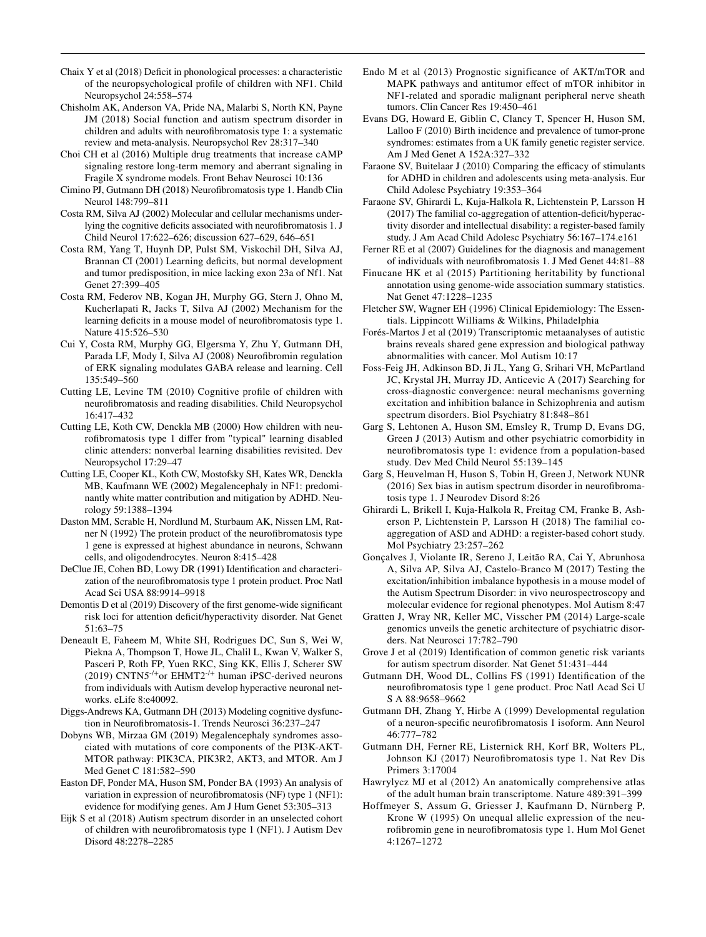- <span id="page-8-12"></span>Chaix Y et al (2018) Deficit in phonological processes: a characteristic of the neuropsychological profle of children with NF1. Child Neuropsychol 24:558–574
- <span id="page-8-33"></span>Chisholm AK, Anderson VA, Pride NA, Malarbi S, North KN, Payne JM (2018) Social function and autism spectrum disorder in children and adults with neurofbromatosis type 1: a systematic review and meta-analysis. Neuropsychol Rev 28:317–340
- <span id="page-8-32"></span>Choi CH et al (2016) Multiple drug treatments that increase cAMP signaling restore long-term memory and aberrant signaling in Fragile X syndrome models. Front Behav Neurosci 10:136
- <span id="page-8-16"></span>Cimino PJ, Gutmann DH (2018) Neurofbromatosis type 1. Handb Clin Neurol 148:799–811
- <span id="page-8-22"></span>Costa RM, Silva AJ (2002) Molecular and cellular mechanisms underlying the cognitive deficits associated with neurofibromatosis 1. J Child Neurol 17:622–626; discussion 627–629, 646–651
- <span id="page-8-38"></span> Brannan CI (2001) Learning defcits, but normal development Costa RM, Yang T, Huynh DP, Pulst SM, Viskochil DH, Silva AJ, and tumor predisposition, in mice lacking exon 23a of Nf1. Nat Genet 27:399–405
- <span id="page-8-24"></span>Costa RM, Federov NB, Kogan JH, Murphy GG, Stern J, Ohno M, Kucherlapati R, Jacks T, Silva AJ (2002) Mechanism for the learning deficits in a mouse model of neurofibromatosis type 1. Nature 415:526–530
- <span id="page-8-25"></span>Cui Y, Costa RM, Murphy GG, Elgersma Y, Zhu Y, Gutmann DH, Parada LF, Mody I, Silva AJ (2008) Neurofibromin regulation of ERK signaling modulates GABA release and learning. Cell 135:549–560
- <span id="page-8-14"></span>Cutting LE, Levine TM (2010) Cognitive profle of children with neurofbromatosis and reading disabilities. Child Neuropsychol 16:417–432
- <span id="page-8-13"></span> Cutting LE, Koth CW, Denckla MB (2000) How children with neurofbromatosis type 1 difer from "typical" learning disabled clinic attenders: nonverbal learning disabilities revisited. Dev Neuropsychol 17:29–47
- <span id="page-8-30"></span>Cutting LE, Cooper KL, Koth CW, Mostofsky SH, Kates WR, Denckla MB, Kaufmann WE (2002) Megalencephaly in NF1: predominantly white matter contribution and mitigation by ADHD. Neurology 59:1388–1394
- <span id="page-8-19"></span>Daston MM, Scrable H, Nordlund M, Sturbaum AK, Nissen LM, Ratner  $N(1992)$  The protein product of the neurofibromatosis type 1 gene is expressed at highest abundance in neurons, Schwann cells, and oligodendrocytes. Neuron 8:415–428
- <span id="page-8-18"></span>DeClue JE, Cohen BD, Lowy DR (1991) Identifcation and characterization of the neurofbromatosis type 1 protein product. Proc Natl Acad Sci USA 88:9914–9918
- <span id="page-8-3"></span>Demontis D et al (2019) Discovery of the frst genome-wide signifcant risk loci for attention defcit/hyperactivity disorder. Nat Genet 51:63–75
- <span id="page-8-37"></span>Deneault E, Faheem M, White SH, Rodrigues DC, Sun S, Wei W, Piekna A, Thompson T, Howe JL, Chalil L, Kwan V, Walker S, Pasceri P, Roth FP, Yuen RKC, Sing KK, Ellis J, Scherer SW (2019) CNTN5-/+or EHMT2-/+ human iPSC-derived neurons from individuals with Autism develop hyperactive neuronal networks. eLife 8:e40092.
- <span id="page-8-17"></span>Diggs-Andrews KA, Gutmann DH (2013) Modeling cognitive dysfunction in Neurofbromatosis-1. Trends Neurosci 36:237–247
- <span id="page-8-29"></span>Dobyns WB, Mirzaa GM (2019) Megalencephaly syndromes associated with mutations of core components of the PI3K-AKT-MTOR pathway: PIK3CA, PIK3R2, AKT3, and MTOR. Am J Med Genet C 181:582–590
- <span id="page-8-7"></span>Easton DF, Ponder MA, Huson SM, Ponder BA (1993) An analysis of variation in expression of neurofbromatosis (NF) type 1 (NF1): evidence for modifying genes. Am J Hum Genet 53:305–313
- <span id="page-8-8"></span>Eijk S et al (2018) Autism spectrum disorder in an unselected cohort of children with neurofbromatosis type 1 (NF1). J Autism Dev Disord 48:2278–2285
- <span id="page-8-28"></span>Endo M et al (2013) Prognostic significance of AKT/mTOR and MAPK pathways and antitumor efect of mTOR inhibitor in NF1-related and sporadic malignant peripheral nerve sheath tumors. Clin Cancer Res 19:450–461
- <span id="page-8-5"></span>Evans DG, Howard E, Giblin C, Clancy T, Spencer H, Huson SM, Lalloo F (2010) Birth incidence and prevalence of tumor-prone syndromes: estimates from a UK family genetic register service. Am J Med Genet A 152A:327–332
- <span id="page-8-34"></span>Faraone SV, Buitelaar J (2010) Comparing the efficacy of stimulants for ADHD in children and adolescents using meta-analysis. Eur Child Adolesc Psychiatry 19:353–364
- <span id="page-8-4"></span>Faraone SV, Ghirardi L, Kuja-Halkola R, Lichtenstein P, Larsson H (2017) The familial co-aggregation of attention-deficit/hyperactivity disorder and intellectual disability: a register-based family study. J Am Acad Child Adolesc Psychiatry 56:167–174.e161
- <span id="page-8-11"></span>Ferner RE et al (2007) Guidelines for the diagnosis and management of individuals with neurofbromatosis 1. J Med Genet 44:81–88
- <span id="page-8-36"></span>Finucane HK et al (2015) Partitioning heritability by functional annotation using genome-wide association summary statistics. Nat Genet 47:1228–1235
- <span id="page-8-15"></span>Fletcher SW, Wagner EH (1996) Clinical Epidemiology: The Essentials. Lippincott Williams & Wilkins, Philadelphia
- <span id="page-8-31"></span>Forés-Martos J et al (2019) Transcriptomic metaanalyses of autistic brains reveals shared gene expression and biological pathway abnormalities with cancer. Mol Autism 10:17
- <span id="page-8-27"></span> cross-diagnostic convergence: neural mechanisms governing Foss-Feig JH, Adkinson BD, Ji JL, Yang G, Srihari VH, McPartland JC, Krystal JH, Murray JD, Anticevic A (2017) Searching for excitation and inhibition balance in Schizophrenia and autism spectrum disorders. Biol Psychiatry 81:848–861
- <span id="page-8-9"></span>Garg S, Lehtonen A, Huson SM, Emsley R, Trump D, Evans DG, Green J (2013) Autism and other psychiatric comorbidity in neurofbromatosis type 1: evidence from a population-based study. Dev Med Child Neurol 55:139–145
- <span id="page-8-10"></span>Garg S, Heuvelman H, Huson S, Tobin H, Green J, Network NUNR (2016) Sex bias in autism spectrum disorder in neurofbromatosis type 1. J Neurodev Disord 8:26
- <span id="page-8-2"></span>Ghirardi L, Brikell I, Kuja-Halkola R, Freitag CM, Franke B, Asherson P, Lichtenstein P, Larsson H (2018) The familial coaggregation of ASD and ADHD: a register-based cohort study. Mol Psychiatry 23:257–262
- <span id="page-8-26"></span> Gonçalves J, Violante IR, Sereno J, Leitão RA, Cai Y, Abrunhosa A, Silva AP, Silva AJ, Castelo-Branco M (2017) Testing the excitation/inhibition imbalance hypothesis in a mouse model of the Autism Spectrum Disorder: in vivo neurospectroscopy and molecular evidence for regional phenotypes. Mol Autism 8:47
- <span id="page-8-0"></span>Gratten J, Wray NR, Keller MC, Visscher PM (2014) Large-scale genomics unveils the genetic architecture of psychiatric disorders. Nat Neurosci 17:782–790
- <span id="page-8-1"></span>Grove J et al (2019) Identifcation of common genetic risk variants for autism spectrum disorder. Nat Genet 51:431–444
- <span id="page-8-20"></span>Gutmann DH, Wood DL, Collins FS (1991) Identifcation of the neurofbromatosis type 1 gene product. Proc Natl Acad Sci U S A 88:9658–9662
- <span id="page-8-21"></span> Gutmann DH, Zhang Y, Hirbe A (1999) Developmental regulation of a neuron-specifc neurofbromatosis 1 isoform. Ann Neurol 46:777–782
- <span id="page-8-6"></span>Gutmann DH, Ferner RE, Listernick RH, Korf BR, Wolters PL, Johnson KJ (2017) Neurofbromatosis type 1. Nat Rev Dis Primers 3:17004
- <span id="page-8-35"></span>Hawrylycz MJ et al (2012) An anatomically comprehensive atlas of the adult human brain transcriptome. Nature 489:391–399
- <span id="page-8-23"></span>Hoffmeyer S, Assum G, Griesser J, Kaufmann D, Nürnberg P, Krone W (1995) On unequal allelic expression of the neurofbromin gene in neurofbromatosis type 1. Hum Mol Genet 4:1267–1272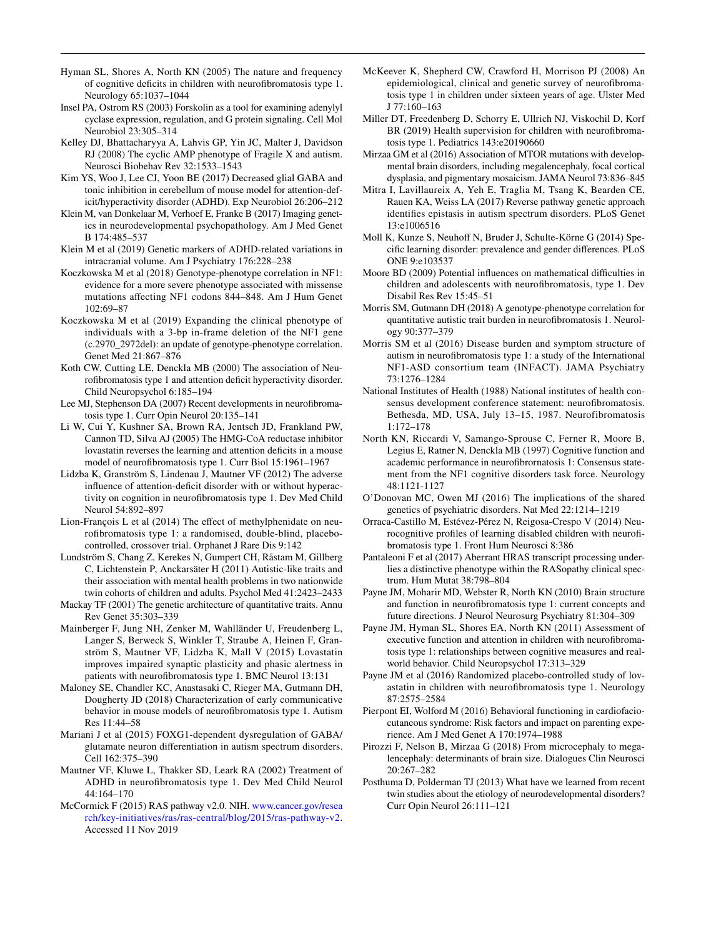- <span id="page-9-12"></span>Hyman SL, Shores A, North KN (2005) The nature and frequency of cognitive defcits in children with neurofbromatosis type 1. Neurology 65:1037–1044
- <span id="page-9-29"></span>Insel PA, Ostrom RS (2003) Forskolin as a tool for examining adenylyl cyclase expression, regulation, and G protein signaling. Cell Mol Neurobiol 23:305–314
- <span id="page-9-27"></span>Kelley DJ, Bhattacharyya A, Lahvis GP, Yin JC, Malter J, Davidson RJ (2008) The cyclic AMP phenotype of Fragile X and autism. Neurosci Biobehav Rev 32:1533–1543
- <span id="page-9-21"></span>Kim YS, Woo J, Lee CJ, Yoon BE (2017) Decreased glial GABA and tonic inhibition in cerebellum of mouse model for attention-deficit/hyperactivity disorder (ADHD). Exp Neurobiol 26:206–212
- <span id="page-9-8"></span> ics in neurodevelopmental psychopathology. Am J Med Genet Klein M, van Donkelaar M, Verhoef E, Franke B (2017) Imaging genet-B 174:485–537
- <span id="page-9-33"></span>Klein M et al (2019) Genetic markers of ADHD-related variations in intracranial volume. Am J Psychiatry 176:228–238
- <span id="page-9-5"></span>Koczkowska M et al (2018) Genotype-phenotype correlation in NF1: evidence for a more severe phenotype associated with missense mutations afecting NF1 codons 844–848. Am J Hum Genet 102:69–87
- <span id="page-9-32"></span>Koczkowska M et al (2019) Expanding the clinical phenotype of individuals with a 3-bp in-frame deletion of the NF1 gene (c.2970\_2972del): an update of genotype-phenotype correlation. Genet Med 21:867–876
- <span id="page-9-13"></span>Koth CW, Cutting LE, Denckla MB (2000) The association of Neurofbromatosis type 1 and attention defcit hyperactivity disorder. Child Neuropsychol 6:185–194
- <span id="page-9-25"></span>Lee MJ, Stephenson DA (2007) Recent developments in neurofbromatosis type 1. Curr Opin Neurol 20:135–141
- <span id="page-9-20"></span>Li W, Cui Y, Kushner SA, Brown RA, Jentsch JD, Frankland PW, Cannon TD, Silva AJ (2005) The HMG-CoA reductase inhibitor lovastatin reverses the learning and attention deficits in a mouse model of neurofbromatosis type 1. Curr Biol 15:1961–1967
- <span id="page-9-14"></span>Lidzba K, Granström S, Lindenau J, Mautner VF (2012) The adverse influence of attention-deficit disorder with or without hyperactivity on cognition in neurofbromatosis type 1. Dev Med Child Neurol 54:892–897
- <span id="page-9-31"></span>Lion-François L et al (2014) The efect of methylphenidate on neurofbromatosis type 1: a randomised, double-blind, placebocontrolled, crossover trial. Orphanet J Rare Dis 9:142
- <span id="page-9-3"></span>Lundström S, Chang Z, Kerekes N, Gumpert CH, Råstam M, Gillberg C, Lichtenstein P, Anckarsäter H (2011) Autistic-like traits and their association with mental health problems in two nationwide twin cohorts of children and adults. Psychol Med 41:2423–2433
- <span id="page-9-0"></span>Mackay TF (2001) The genetic architecture of quantitative traits. Annu Rev Genet 35:303–339
- <span id="page-9-36"></span>Mainberger F, Jung NH, Zenker M, Wahlländer U, Freudenberg L, Langer S, Berweck S, Winkler T, Straube A, Heinen F, Granström S, Mautner VF, Lidzba K, Mall V (2015) Lovastatin improves impaired synaptic plasticity and phasic alertness in patients with neurofbromatosis type 1. BMC Neurol 13:131
- <span id="page-9-30"></span> Dougherty JD (2018) Characterization of early communicative Maloney SE, Chandler KC, Anastasaki C, Rieger MA, Gutmann DH, behavior in mouse models of neurofbromatosis type 1. Autism Res 11:44–58
- <span id="page-9-37"></span>Mariani J et al (2015) FOXG1-dependent dysregulation of GABA/ glutamate neuron diferentiation in autism spectrum disorders. Cell 162:375–390
- <span id="page-9-15"></span>Mautner VF, Kluwe L, Thakker SD, Leark RA (2002) Treatment of ADHD in neurofbromatosis type 1. Dev Med Child Neurol 44:164–170
- <span id="page-9-34"></span> McCormick F (2015) RAS pathway v2.0. NIH. <www.cancer.gov/resea> rch/key-initiatives/ras/ras-central/blog/2015/ras-pathway-v2. Accessed 11 Nov 2019
- <span id="page-9-6"></span>McKeever K, Shepherd CW, Crawford H, Morrison PJ (2008) An epidemiological, clinical and genetic survey of neurofbromatosis type 1 in children under sixteen years of age. Ulster Med J 77:160–163
- <span id="page-9-7"></span>Miller DT, Freedenberg D, Schorry E, Ullrich NJ, Viskochil D, Korf BR (2019) Health supervision for children with neurofibromatosis type 1. Pediatrics 143:e20190660
- <span id="page-9-26"></span>Mirzaa GM et al (2016) Association of MTOR mutations with developmental brain disorders, including megalencephaly, focal cortical dysplasia, and pigmentary mosaicism. JAMA Neurol 73:836–845
- <span id="page-9-24"></span>Mitra I, Lavillaureix A, Yeh E, Traglia M, Tsang K, Bearden CE, Rauen KA, Weiss LA (2017) Reverse pathway genetic approach identifes epistasis in autism spectrum disorders. PLoS Genet 13:e1006516
- Moll K, Kunze S, Neuhoff N, Bruder J, Schulte-Körne G (2014) Specifc learning disorder: prevalence and gender diferences. PLoS ONE 9:e103537
- <span id="page-9-18"></span>Moore BD (2009) Potential influences on mathematical difficulties in children and adolescents with neurofbromatosis, type 1. Dev Disabil Res Rev 15:45–51
- <span id="page-9-11"></span>Morris SM, Gutmann DH (2018) A genotype-phenotype correlation for quantitative autistic trait burden in neurofbromatosis 1. Neurology 90:377–379
- <span id="page-9-10"></span>Morris SM et al (2016) Disease burden and symptom structure of autism in neurofbromatosis type 1: a study of the International NF1-ASD consortium team (INFACT). JAMA Psychiatry 73:1276–1284
- <span id="page-9-4"></span>National Institutes of Health (1988) National institutes of health consensus development conference statement: neurofbromatosis. Bethesda, MD, USA, July 13–15, 1987. Neurofibromatosis 1:172–178
- <span id="page-9-19"></span>North KN, Riccardi V, Samango-Sprouse C, Ferner R, Moore B, Legius E, Ratner N, Denckla MB (1997) Cognitive function and academic performance in neurofbrornatosis 1: Consensus statement from the NF1 cognitive disorders task force. Neurology 48:1121-1127
- <span id="page-9-1"></span>O'Donovan MC, Owen MJ (2016) The implications of the shared genetics of psychiatric disorders. Nat Med 22:1214–1219
- <span id="page-9-17"></span>Orraca-Castillo M, Estévez-Pérez N, Reigosa-Crespo V (2014) Neurocognitive profles of learning disabled children with neurofbromatosis type 1. Front Hum Neurosci 8:386
- <span id="page-9-22"></span> Pantaleoni F et al (2017) Aberrant HRAS transcript processing underlies a distinctive phenotype within the RASopathy clinical spectrum. Hum Mutat 38:798–804
- <span id="page-9-9"></span>Payne JM, Moharir MD, Webster R, North KN (2010) Brain structure and function in neurofbromatosis type 1: current concepts and future directions. J Neurol Neurosurg Psychiatry 81:304–309
- <span id="page-9-16"></span>Payne JM, Hyman SL, Shores EA, North KN (2011) Assessment of executive function and attention in children with neurofbromatosis type 1: relationships between cognitive measures and realworld behavior. Child Neuropsychol 17:313–329
- <span id="page-9-35"></span> Payne JM et al (2016) Randomized placebo-controlled study of lovastatin in children with neurofbromatosis type 1. Neurology 87:2575–2584
- <span id="page-9-23"></span>Pierpont EI, Wolford M (2016) Behavioral functioning in cardiofaciocutaneous syndrome: Risk factors and impact on parenting experience. Am J Med Genet A 170:1974–1988
- <span id="page-9-28"></span>Pirozzi F, Nelson B, Mirzaa G (2018) From microcephaly to megalencephaly: determinants of brain size. Dialogues Clin Neurosci 20:267–282
- <span id="page-9-2"></span>Posthuma D, Polderman TJ (2013) What have we learned from recent twin studies about the etiology of neurodevelopmental disorders? Curr Opin Neurol 26:111–121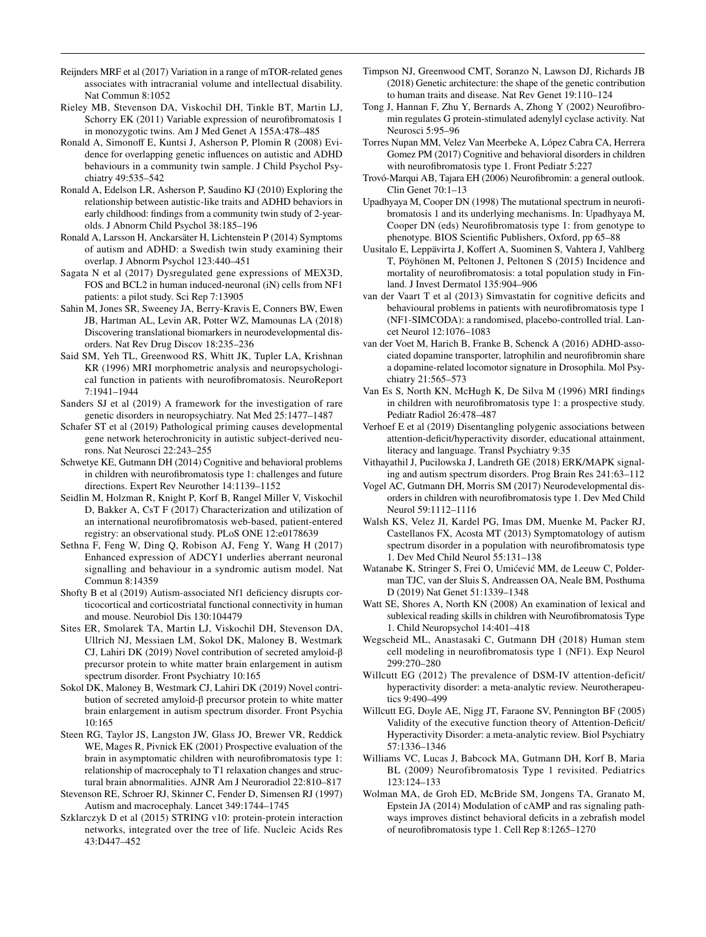- <span id="page-10-21"></span>Reijnders MRF et al (2017) Variation in a range of mTOR-related genes associates with intracranial volume and intellectual disability. Nat Commun 8:1052
- <span id="page-10-9"></span>Rieley MB, Stevenson DA, Viskochil DH, Tinkle BT, Martin LJ, Schorry EK (2011) Variable expression of neurofbromatosis 1 in monozygotic twins. Am J Med Genet A 155A:478–485
- <span id="page-10-2"></span>Ronald A, Simonoff E, Kuntsi J, Asherson P, Plomin R (2008) Evidence for overlapping genetic infuences on autistic and ADHD behaviours in a community twin sample. J Child Psychol Psychiatry 49:535–542
- <span id="page-10-3"></span>Ronald A, Edelson LR, Asherson P, Saudino KJ (2010) Exploring the relationship between autistic-like traits and ADHD behaviors in early childhood: fndings from a community twin study of 2-yearolds. J Abnorm Child Psychol 38:185–196
- <span id="page-10-4"></span>Ronald A, Larsson H, Anckarsäter H, Lichtenstein P (2014) Symptoms of autism and ADHD: a Swedish twin study examining their overlap. J Abnorm Psychol 123:440–451
- <span id="page-10-29"></span>Sagata N et al (2017) Dysregulated gene expressions of MEX3D, FOS and BCL2 in human induced-neuronal (iN) cells from NF1 patients: a pilot study. Sci Rep 7:13905
- <span id="page-10-37"></span>Sahin M, Jones SR, Sweeney JA, Berry-Kravis E, Conners BW, Ewen JB, Hartman AL, Levin AR, Potter WZ, Mamounas LA (2018) Discovering translational biomarkers in neurodevelopmental disorders. Nat Rev Drug Discov 18:235–236
- <span id="page-10-23"></span>Said SM, Yeh TL, Greenwood RS, Whitt JK, Tupler LA, Krishnan KR (1996) MRI morphometric analysis and neuropsychological function in patients with neurofbromatosis. NeuroReport 7:1941–1944
- <span id="page-10-16"></span>Sanders SJ et al (2019) A framework for the investigation of rare genetic disorders in neuropsychiatry. Nat Med 25:1477–1487
- <span id="page-10-33"></span>Schafer ST et al (2019) Pathological priming causes developmental gene network heterochronicity in autistic subject-derived neurons. Nat Neurosci 22:243–255
- <span id="page-10-19"></span>Schwetye KE, Gutmann DH (2014) Cognitive and behavioral problems in children with neurofbromatosis type 1: challenges and future directions. Expert Rev Neurother 14:1139–1152
- <span id="page-10-31"></span>Seidlin M, Holzman R, Knight P, Korf B, Rangel Miller V, Viskochil D, Bakker A, CsT F (2017) Characterization and utilization of an international neurofbromatosis web-based, patient-entered registry: an observational study. PLoS ONE 12:e0178639
- <span id="page-10-27"></span>Sethna F, Feng W, Ding Q, Robison AJ, Feng Y, Wang H (2017) Enhanced expression of ADCY1 underlies aberrant neuronal signalling and behaviour in a syndromic autism model. Nat Commun 8:14359
- <span id="page-10-38"></span>Shofty B et al (2019) Autism-associated Nf1 deficiency disrupts corticocortical and corticostriatal functional connectivity in human and mouse. Neurobiol Dis 130:104479
- <span id="page-10-10"></span>Sites ER, Smolarek TA, Martin LJ, Viskochil DH, Stevenson DA, Ullrich NJ, Messiaen LM, Sokol DK, Maloney B, Westmark CJ, Lahiri DK (2019) Novel contribution of secreted amyloid-β precursor protein to white matter brain enlargement in autism spectrum disorder. Front Psychiatry 10:165
- <span id="page-10-25"></span>Sokol DK, Maloney B, Westmark CJ, Lahiri DK (2019) Novel contribution of secreted amyloid-β precursor protein to white matter brain enlargement in autism spectrum disorder. Front Psychia 10:165
- <span id="page-10-24"></span>Steen RG, Taylor JS, Langston JW, Glass JO, Brewer VR, Reddick WE, Mages R, Pivnick EK (2001) Prospective evaluation of the brain in asymptomatic children with neurofbromatosis type 1: relationship of macrocephaly to T1 relaxation changes and structural brain abnormalities. AJNR Am J Neuroradiol 22:810–817
- <span id="page-10-32"></span>Stevenson RE, Schroer RJ, Skinner C, Fender D, Simensen RJ (1997) Autism and macrocephaly. Lancet 349:1744–1745
- <span id="page-10-34"></span>Szklarczyk D et al (2015) STRING v10: protein-protein interaction networks, integrated over the tree of life. Nucleic Acids Res 43:D447–452
- <span id="page-10-0"></span>Timpson NJ, Greenwood CMT, Soranzo N, Lawson DJ, Richards JB (2018) Genetic architecture: the shape of the genetic contribution to human traits and disease. Nat Rev Genet 19:110–124
- <span id="page-10-26"></span>Tong J, Hannan F, Zhu Y, Bernards A, Zhong Y (2002) Neurofbromin regulates G protein-stimulated adenylyl cyclase activity. Nat Neurosci 5:95–96
- <span id="page-10-12"></span>Torres Nupan MM, Velez Van Meerbeke A, López Cabra CA, Herrera Gomez PM (2017) Cognitive and behavioral disorders in children with neurofibromatosis type 1. Front Pediatr 5:227
- <span id="page-10-18"></span> Trovó-Marqui AB, Tajara EH (2006) Neurofbromin: a general outlook. Clin Genet 70:1–13
- <span id="page-10-17"></span>Upadhyaya M, Cooper DN (1998) The mutational spectrum in neurofbromatosis 1 and its underlying mechanisms. In: Upadhyaya M, Cooper DN (eds) Neurofbromatosis type 1: from genotype to phenotype. BIOS Scientifc Publishers, Oxford, pp 65–88
- <span id="page-10-6"></span>Uusitalo E, Leppävirta J, Kofert A, Suominen S, Vahtera J, Vahlberg T, Pöyhönen M, Peltonen J, Peltonen S (2015) Incidence and mortality of neurofbromatosis: a total population study in Finland. J Invest Dermatol 135:904–906
- <span id="page-10-36"></span>van der Vaart T et al (2013) Simvastatin for cognitive deficits and behavioural problems in patients with neurofibromatosis type 1 (NF1-SIMCODA): a randomised, placebo-controlled trial. Lancet Neurol 12:1076–1083
- <span id="page-10-30"></span>van der Voet M, Harich B, Franke B, Schenck A (2016) ADHD-associated dopamine transporter, latrophilin and neurofbromin share a dopamine-related locomotor signature in Drosophila. Mol Psychiatry 21:565–573
- <span id="page-10-22"></span>Van Es S, North KN, McHugh K, De Silva M (1996) MRI fndings in children with neurofbromatosis type 1: a prospective study. Pediatr Radiol 26:478–487
- <span id="page-10-5"></span>Verhoef E et al (2019) Disentangling polygenic associations between attention-deficit/hyperactivity disorder, educational attainment, literacy and language. Transl Psychiatry 9:35
- <span id="page-10-20"></span>Vithayathil J, Pucilowska J, Landreth GE (2018) ERK/MAPK signaling and autism spectrum disorders. Prog Brain Res 241:63–112
- <span id="page-10-7"></span>Vogel AC, Gutmann DH, Morris SM (2017) Neurodevelopmental disorders in children with neurofbromatosis type 1. Dev Med Child Neurol 59:1112–1116
- <span id="page-10-11"></span>Walsh KS, Velez JI, Kardel PG, Imas DM, Muenke M, Packer RJ, Castellanos FX, Acosta MT (2013) Symptomatology of autism spectrum disorder in a population with neurofbromatosis type 1. Dev Med Child Neurol 55:131–138
- <span id="page-10-1"></span>Watanabe K, Stringer S, Frei O, Umićević MM, de Leeuw C, Polderman TJC, van der Sluis S, Andreassen OA, Neale BM, Posthuma D (2019) Nat Genet 51:1339–1348
- <span id="page-10-15"></span>Watt SE, Shores A, North KN (2008) An examination of lexical and sublexical reading skills in children with Neurofbromatosis Type 1. Child Neuropsychol 14:401–418
- <span id="page-10-35"></span> Wegscheid ML, Anastasaki C, Gutmann DH (2018) Human stem cell modeling in neurofbromatosis type 1 (NF1). Exp Neurol 299:270–280
- <span id="page-10-13"></span>Willcutt EG (2012) The prevalence of DSM-IV attention-deficit/ hyperactivity disorder: a meta-analytic review. Neurotherapeutics 9:490–499
- <span id="page-10-14"></span>Willcutt EG, Doyle AE, Nigg JT, Faraone SV, Pennington BF (2005) Validity of the executive function theory of Attention-Deficit/ Hyperactivity Disorder: a meta-analytic review. Biol Psychiatry 57:1336–1346
- <span id="page-10-8"></span>Williams VC, Lucas J, Babcock MA, Gutmann DH, Korf B, Maria BL (2009) Neurofibromatosis Type 1 revisited. Pediatrics 123:124–133
- <span id="page-10-28"></span>Wolman MA, de Groh ED, McBride SM, Jongens TA, Granato M, Epstein JA (2014) Modulation of cAMP and ras signaling pathways improves distinct behavioral deficits in a zebrafish model of neurofbromatosis type 1. Cell Rep 8:1265–1270